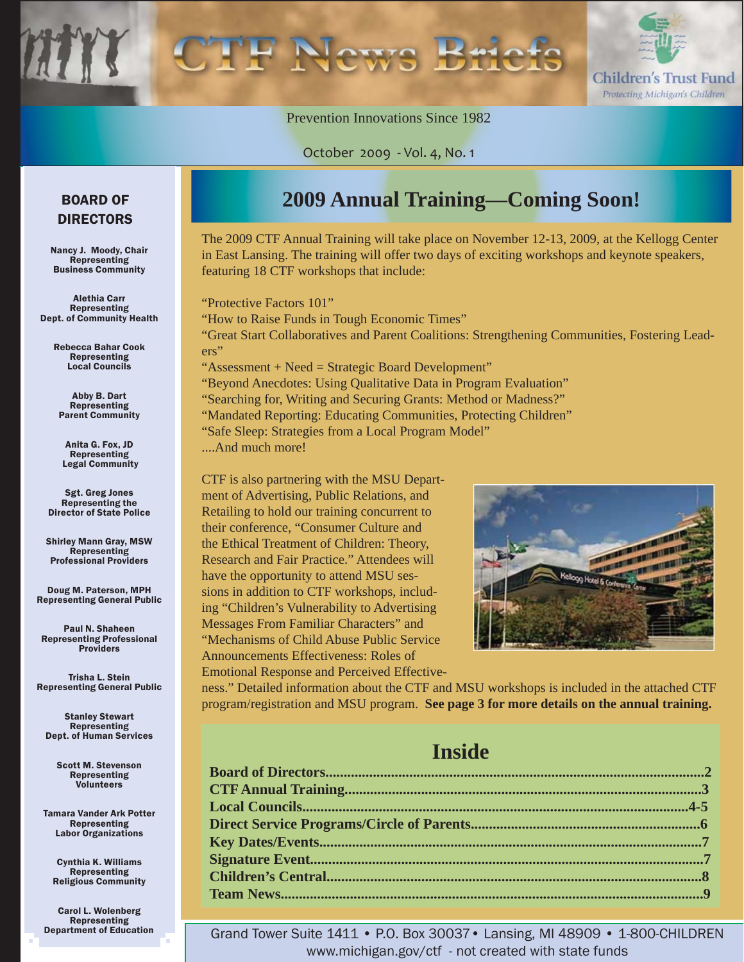

Prevention Innovations Since 1982

October 2009 - Vol. 4, No. 1

### BOARD OF DIRECTORS

Nancy J. Moody, Chair Representing Business Community

Alethia Carr Representing Dept. of Community Health

> Rebecca Bahar Cook Representing Local Councils

Abby B. Dart Representing Parent Community

Anita G. Fox, JD Representing Legal Community

Sgt. Greg Jones Representing the Director of State Police

Shirley Mann Gray, MSW Representing Professional Providers

Doug M. Paterson, MPH Representing General Public

Paul N. Shaheen Representing Professional Providers

Trisha L. Stein Representing General Public

Stanley Stewart Representing Dept. of Human Services

> Scott M. Stevenson Representing Volunteers

Tamara Vander Ark Potter Representing Labor Organizations

Cynthia K. Williams Representing Religious Community

Carol L. Wolenberg Representing Department of Education

# **2009 Annual Training—Coming Soon!**

The 2009 CTF Annual Training will take place on November 12-13, 2009, at the Kellogg Center in East Lansing. The training will offer two days of exciting workshops and keynote speakers, featuring 18 CTF workshops that include:

"Protective Factors 101" "How to Raise Funds in Tough Economic Times" "Great Start Collaboratives and Parent Coalitions: Strengthening Communities, Fostering Leaders" "Assessment + Need = Strategic Board Development" "Beyond Anecdotes: Using Qualitative Data in Program Evaluation"

"Searching for, Writing and Securing Grants: Method or Madness?" "Mandated Reporting: Educating Communities, Protecting Children" "Safe Sleep: Strategies from a Local Program Model"

....And much more!

CTF is also partnering with the MSU Department of Advertising, Public Relations, and Retailing to hold our training concurrent to their conference, "Consumer Culture and the Ethical Treatment of Children: Theory, Research and Fair Practice." Attendees will have the opportunity to attend MSU sessions in addition to CTF workshops, including "Children's Vulnerability to Advertising Messages From Familiar Characters" and "Mechanisms of Child Abuse Public Service Announcements Effectiveness: Roles of Emotional Response and Perceived Effective-



ness." Detailed information about the CTF and MSU workshops is included in the attached CTF program/registration and MSU program. **See page 3 for more details on the annual training.** 

# **Inside**

Grand Tower Suite 1411 • P.O. Box 30037• Lansing, MI 48909 • 1-800-CHILDREN www.michigan.gov/ctf - not created with state funds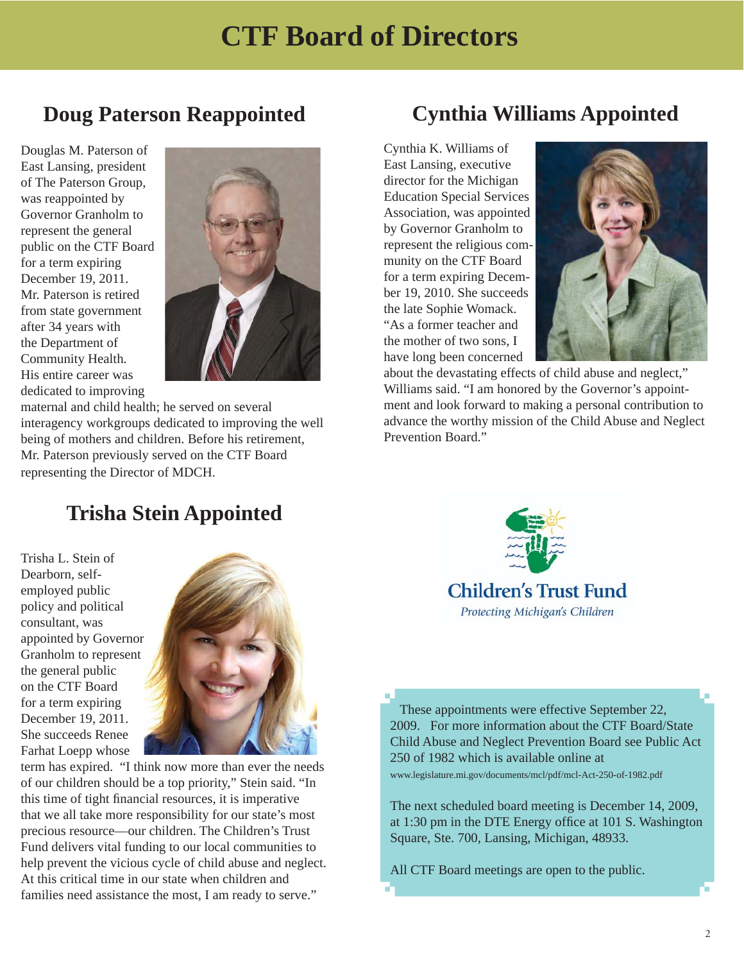# **Doug Paterson Reappointed**

Douglas M. Paterson of East Lansing, president of The Paterson Group, was reappointed by Governor Granholm to represent the general public on the CTF Board for a term expiring December 19, 2011. Mr. Paterson is retired from state government after 34 years with the Department of Community Health. His entire career was dedicated to improving



maternal and child health; he served on several interagency workgroups dedicated to improving the well being of mothers and children. Before his retirement, Mr. Paterson previously served on the CTF Board representing the Director of MDCH.

# **Cynthia Williams Appointed**

Cynthia K. Williams of East Lansing, executive director for the Michigan Education Special Services Association, was appointed by Governor Granholm to represent the religious community on the CTF Board for a term expiring December 19, 2010. She succeeds the late Sophie Womack. "As a former teacher and the mother of two sons, I have long been concerned



about the devastating effects of child abuse and neglect," Williams said. "I am honored by the Governor's appointment and look forward to making a personal contribution to advance the worthy mission of the Child Abuse and Neglect Prevention Board."

# **Trisha Stein Appointed**

Trisha L. Stein of Dearborn, selfemployed public policy and political consultant, was appointed by Governor Granholm to represent the general public on the CTF Board for a term expiring December 19, 2011. She succeeds Renee Farhat Loepp whose



term has expired. "I think now more than ever the needs of our children should be a top priority," Stein said. "In this time of tight financial resources, it is imperative that we all take more responsibility for our state's most precious resource—our children. The Children's Trust Fund delivers vital funding to our local communities to help prevent the vicious cycle of child abuse and neglect. At this critical time in our state when children and families need assistance the most, I am ready to serve."



Ī These appointments were effective September 22, 2009. For more information about the CTF Board/State Child Abuse and Neglect Prevention Board see Public Act 250 of 1982 which is available online at www.legislature.mi.gov/documents/mcl/pdf/mcl-Act-250-of-1982.pdf

The next scheduled board meeting is December 14, 2009, at 1:30 pm in the DTE Energy office at 101 S. Washington Square, Ste. 700, Lansing, Michigan, 48933.

All CTF Board meetings are open to the public.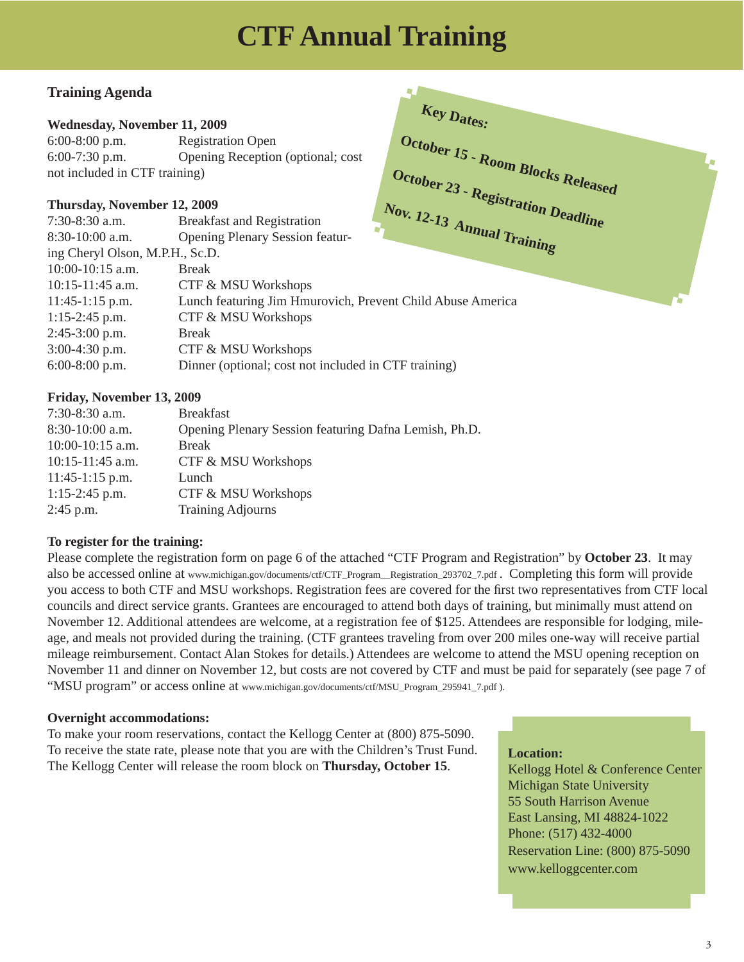# **CTF Annual Training**

**Key Dates:** 

**October 15 - Room Blocks Released**

### **Training Agenda**

### **Wednesday, November 11, 2009**

6:00-8:00 p.m. Registration Open 6:00-7:30 p.m. Opening Reception (optional; cost not included in CTF training)

### **Thursday, November 12, 2009**

| not included in CTF training)   |                                                            |                            | October 23 - Registration Deadline |
|---------------------------------|------------------------------------------------------------|----------------------------|------------------------------------|
| Thursday, November 12, 2009     |                                                            |                            |                                    |
| $7:30-8:30$ a.m.                | <b>Breakfast and Registration</b>                          |                            |                                    |
| $8:30-10:00$ a.m.               | <b>Opening Plenary Session featur-</b>                     | Nov. 12-13 Annual Training |                                    |
| ing Cheryl Olson, M.P.H., Sc.D. |                                                            |                            |                                    |
| $10:00-10:15$ a.m.              | <b>Break</b>                                               |                            |                                    |
| $10:15-11:45$ a.m.              | CTF & MSU Workshops                                        |                            |                                    |
| $11:45-1:15$ p.m.               | Lunch featuring Jim Hmurovich, Prevent Child Abuse America |                            |                                    |
| $1:15-2:45$ p.m.                | CTF & MSU Workshops                                        |                            |                                    |
| $2:45-3:00$ p.m.                | <b>Break</b>                                               |                            |                                    |
| $3:00-4:30$ p.m.                | CTF & MSU Workshops                                        |                            |                                    |
| $6:00-8:00$ p.m.                | Dinner (optional; cost not included in CTF training)       |                            |                                    |
|                                 |                                                            |                            |                                    |

### **Friday, November 13, 2009**

| $7:30-8:30$ a.m.   | <b>Breakfast</b>                                      |
|--------------------|-------------------------------------------------------|
| 8:30-10:00 a.m.    | Opening Plenary Session featuring Dafna Lemish, Ph.D. |
| $10:00-10:15$ a.m. | <b>Break</b>                                          |
| $10:15-11:45$ a.m. | <b>CTF &amp; MSU Workshops</b>                        |
| $11:45-1:15$ p.m.  | Lunch                                                 |
| $1:15-2:45$ p.m.   | CTF & MSU Workshops                                   |
| $2:45$ p.m.        | <b>Training Adjourns</b>                              |

### **To register for the training:**

Please complete the registration form on page 6 of the attached "CTF Program and Registration" by **October 23**. It may also be accessed online at www.michigan.gov/documents/ctf/CTF\_Program\_\_Registration\_293702\_7.pdf . Completing this form will provide you access to both CTF and MSU workshops. Registration fees are covered for the first two representatives from CTF local councils and direct service grants. Grantees are encouraged to attend both days of training, but minimally must attend on November 12. Additional attendees are welcome, at a registration fee of \$125. Attendees are responsible for lodging, mileage, and meals not provided during the training. (CTF grantees traveling from over 200 miles one-way will receive partial mileage reimbursement. Contact Alan Stokes for details.) Attendees are welcome to attend the MSU opening reception on November 11 and dinner on November 12, but costs are not covered by CTF and must be paid for separately (see page 7 of "MSU program" or access online at www.michigan.gov/documents/ctf/MSU\_Program\_295941\_7.pdf ).

### **Overnight accommodations:**

To make your room reservations, contact the Kellogg Center at (800) 875-5090. To receive the state rate, please note that you are with the Children's Trust Fund. The Kellogg Center will release the room block on **Thursday, October 15**. **Location:** 

Kellogg Hotel & Conference Center Michigan State University 55 South Harrison Avenue East Lansing, MI 48824-1022 Phone: (517) 432-4000 Reservation Line: (800) 875-5090 www.kelloggcenter.com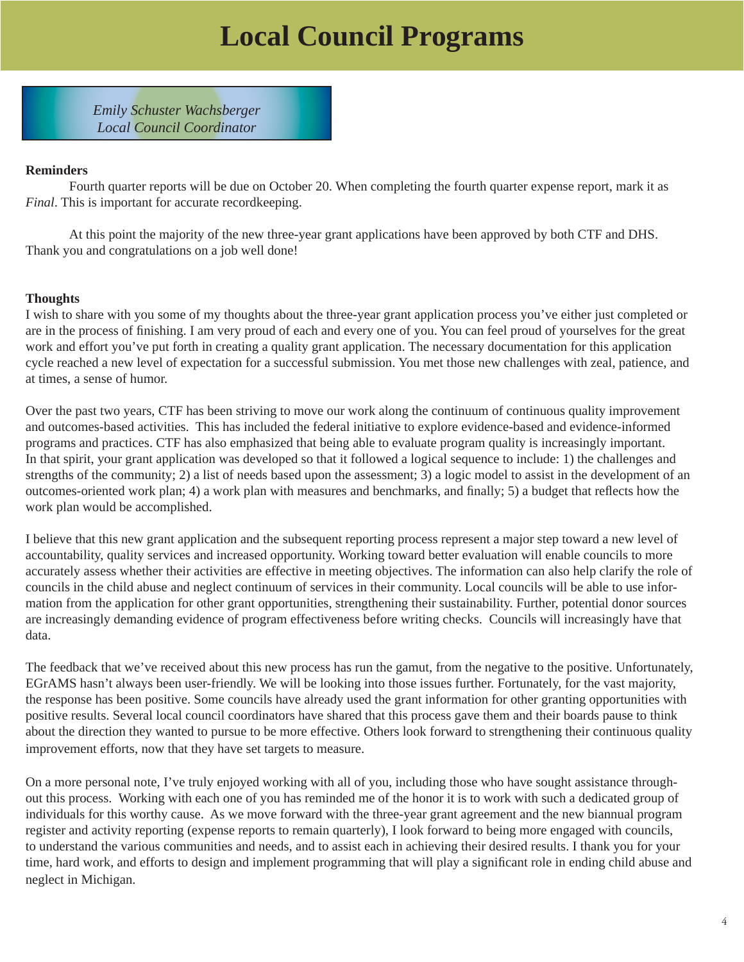# **Local Council Programs**

*Emily Schuster Wachsberger Local Council Coordinator*

### **Reminders**

 Fourth quarter reports will be due on October 20. When completing the fourth quarter expense report, mark it as *Final*. This is important for accurate recordkeeping.

 At this point the majority of the new three-year grant applications have been approved by both CTF and DHS. Thank you and congratulations on a job well done!

### **Thoughts**

I wish to share with you some of my thoughts about the three-year grant application process you've either just completed or are in the process of finishing. I am very proud of each and every one of you. You can feel proud of yourselves for the great work and effort you've put forth in creating a quality grant application. The necessary documentation for this application cycle reached a new level of expectation for a successful submission. You met those new challenges with zeal, patience, and at times, a sense of humor.

Over the past two years, CTF has been striving to move our work along the continuum of continuous quality improvement and outcomes-based activities. This has included the federal initiative to explore evidence-based and evidence-informed programs and practices. CTF has also emphasized that being able to evaluate program quality is increasingly important. In that spirit, your grant application was developed so that it followed a logical sequence to include: 1) the challenges and strengths of the community; 2) a list of needs based upon the assessment; 3) a logic model to assist in the development of an outcomes-oriented work plan; 4) a work plan with measures and benchmarks, and finally; 5) a budget that reflects how the work plan would be accomplished.

I believe that this new grant application and the subsequent reporting process represent a major step toward a new level of accountability, quality services and increased opportunity. Working toward better evaluation will enable councils to more accurately assess whether their activities are effective in meeting objectives. The information can also help clarify the role of councils in the child abuse and neglect continuum of services in their community. Local councils will be able to use information from the application for other grant opportunities, strengthening their sustainability. Further, potential donor sources are increasingly demanding evidence of program effectiveness before writing checks. Councils will increasingly have that data.

The feedback that we've received about this new process has run the gamut, from the negative to the positive. Unfortunately, EGrAMS hasn't always been user-friendly. We will be looking into those issues further. Fortunately, for the vast majority, the response has been positive. Some councils have already used the grant information for other granting opportunities with positive results. Several local council coordinators have shared that this process gave them and their boards pause to think about the direction they wanted to pursue to be more effective. Others look forward to strengthening their continuous quality improvement efforts, now that they have set targets to measure.

On a more personal note, I've truly enjoyed working with all of you, including those who have sought assistance throughout this process. Working with each one of you has reminded me of the honor it is to work with such a dedicated group of individuals for this worthy cause. As we move forward with the three-year grant agreement and the new biannual program register and activity reporting (expense reports to remain quarterly), I look forward to being more engaged with councils, to understand the various communities and needs, and to assist each in achieving their desired results. I thank you for your time, hard work, and efforts to design and implement programming that will play a significant role in ending child abuse and neglect in Michigan.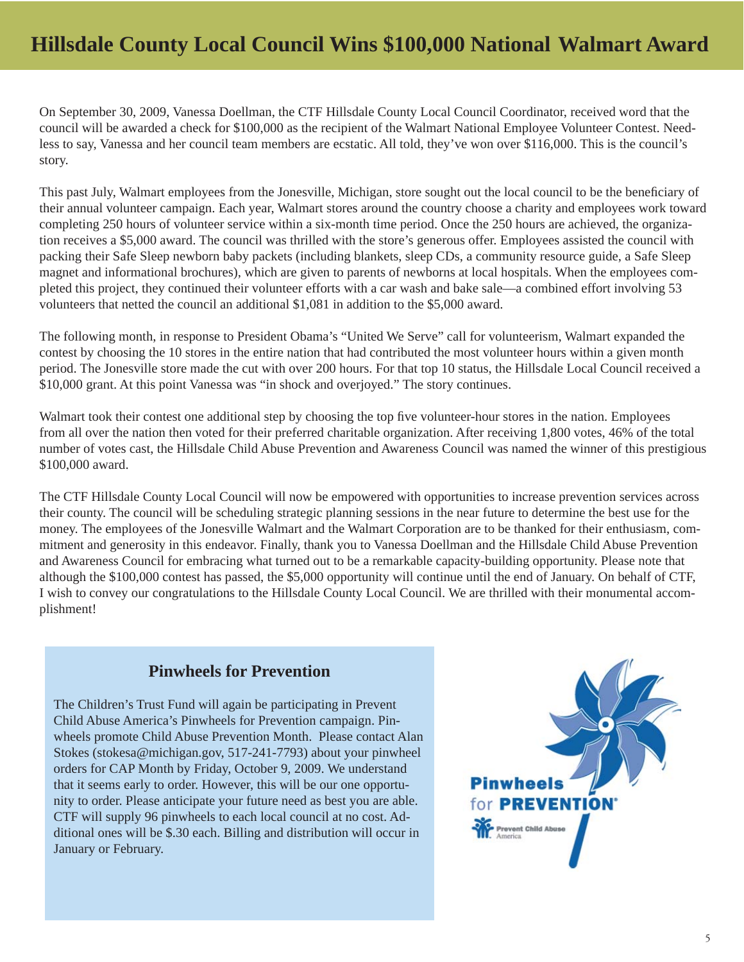# **Hillsdale County Local Council Wins \$100,000 National Walmart Award**

On September 30, 2009, Vanessa Doellman, the CTF Hillsdale County Local Council Coordinator, received word that the council will be awarded a check for \$100,000 as the recipient of the Walmart National Employee Volunteer Contest. Needless to say, Vanessa and her council team members are ecstatic. All told, they've won over \$116,000. This is the council's story.

This past July, Walmart employees from the Jonesville, Michigan, store sought out the local council to be the beneficiary of their annual volunteer campaign. Each year, Walmart stores around the country choose a charity and employees work toward completing 250 hours of volunteer service within a six-month time period. Once the 250 hours are achieved, the organization receives a \$5,000 award. The council was thrilled with the store's generous offer. Employees assisted the council with packing their Safe Sleep newborn baby packets (including blankets, sleep CDs, a community resource guide, a Safe Sleep magnet and informational brochures), which are given to parents of newborns at local hospitals. When the employees completed this project, they continued their volunteer efforts with a car wash and bake sale—a combined effort involving 53 volunteers that netted the council an additional \$1,081 in addition to the \$5,000 award.

The following month, in response to President Obama's "United We Serve" call for volunteerism, Walmart expanded the contest by choosing the 10 stores in the entire nation that had contributed the most volunteer hours within a given month period. The Jonesville store made the cut with over 200 hours. For that top 10 status, the Hillsdale Local Council received a \$10,000 grant. At this point Vanessa was "in shock and overjoyed." The story continues.

Walmart took their contest one additional step by choosing the top five volunteer-hour stores in the nation. Employees from all over the nation then voted for their preferred charitable organization. After receiving 1,800 votes, 46% of the total number of votes cast, the Hillsdale Child Abuse Prevention and Awareness Council was named the winner of this prestigious \$100,000 award.

The CTF Hillsdale County Local Council will now be empowered with opportunities to increase prevention services across their county. The council will be scheduling strategic planning sessions in the near future to determine the best use for the money. The employees of the Jonesville Walmart and the Walmart Corporation are to be thanked for their enthusiasm, commitment and generosity in this endeavor. Finally, thank you to Vanessa Doellman and the Hillsdale Child Abuse Prevention and Awareness Council for embracing what turned out to be a remarkable capacity-building opportunity. Please note that although the \$100,000 contest has passed, the \$5,000 opportunity will continue until the end of January. On behalf of CTF, I wish to convey our congratulations to the Hillsdale County Local Council. We are thrilled with their monumental accomplishment!

### **Pinwheels for Prevention**

The Children's Trust Fund will again be participating in Prevent Child Abuse America's Pinwheels for Prevention campaign. Pinwheels promote Child Abuse Prevention Month. Please contact Alan Stokes (stokesa@michigan.gov, 517-241-7793) about your pinwheel orders for CAP Month by Friday, October 9, 2009. We understand that it seems early to order. However, this will be our one opportunity to order. Please anticipate your future need as best you are able. CTF will supply 96 pinwheels to each local council at no cost. Additional ones will be \$.30 each. Billing and distribution will occur in January or February.

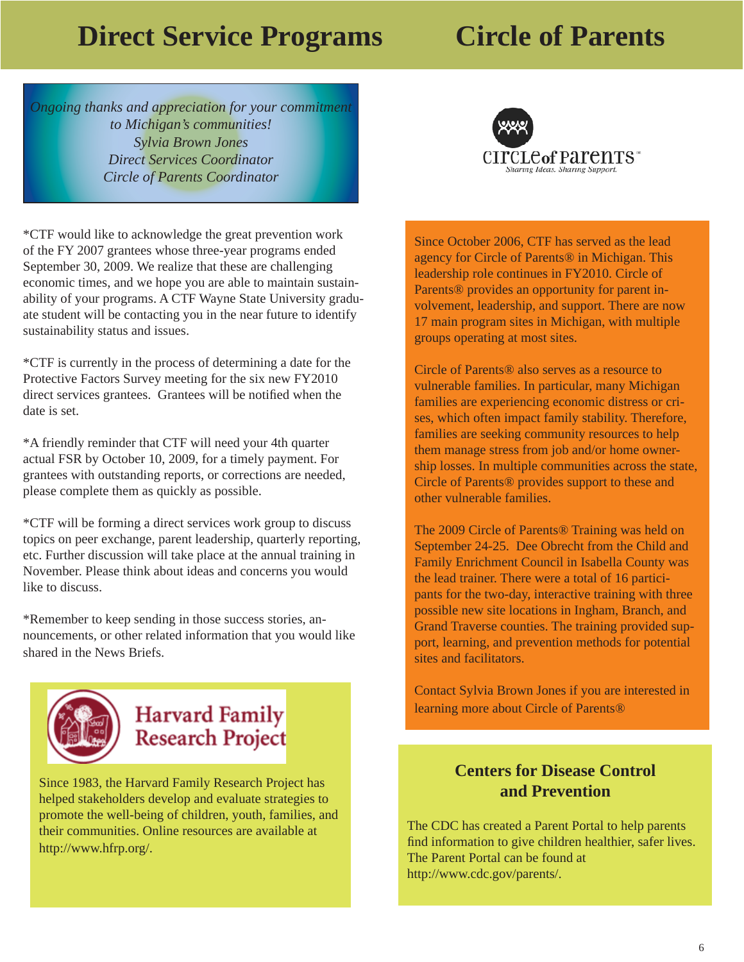# **Direct Service Programs Circle of Parents**

*Ongoing thanks and appreciation for your commitment to Michigan's communities! Sylvia Brown Jones Direct Services Coordinator Circle of Parents Coordinator*

\*CTF would like to acknowledge the great prevention work of the FY 2007 grantees whose three-year programs ended September 30, 2009. We realize that these are challenging economic times, and we hope you are able to maintain sustainability of your programs. A CTF Wayne State University graduate student will be contacting you in the near future to identify sustainability status and issues.

\*CTF is currently in the process of determining a date for the Protective Factors Survey meeting for the six new FY2010 direct services grantees. Grantees will be notified when the date is set.

\*A friendly reminder that CTF will need your 4th quarter actual FSR by October 10, 2009, for a timely payment. For grantees with outstanding reports, or corrections are needed, please complete them as quickly as possible.

\*CTF will be forming a direct services work group to discuss topics on peer exchange, parent leadership, quarterly reporting, etc. Further discussion will take place at the annual training in November. Please think about ideas and concerns you would like to discuss.

\*Remember to keep sending in those success stories, announcements, or other related information that you would like shared in the News Briefs.



# **Harvard Family Research Project**

Since 1983, the Harvard Family Research Project has helped stakeholders develop and evaluate strategies to promote the well-being of children, youth, families, and their communities. Online resources are available at http://www.hfrp.org/.



Since October 2006, CTF has served as the lead agency for Circle of Parents® in Michigan. This leadership role continues in FY2010. Circle of Parents® provides an opportunity for parent involvement, leadership, and support. There are now 17 main program sites in Michigan, with multiple groups operating at most sites.

Circle of Parents® also serves as a resource to vulnerable families. In particular, many Michigan families are experiencing economic distress or crises, which often impact family stability. Therefore, families are seeking community resources to help them manage stress from job and/or home ownership losses. In multiple communities across the state, Circle of Parents® provides support to these and other vulnerable families.

The 2009 Circle of Parents® Training was held on September 24-25. Dee Obrecht from the Child and Family Enrichment Council in Isabella County was the lead trainer. There were a total of 16 participants for the two-day, interactive training with three possible new site locations in Ingham, Branch, and Grand Traverse counties. The training provided support, learning, and prevention methods for potential sites and facilitators.

Contact Sylvia Brown Jones if you are interested in learning more about Circle of Parents®

### **Centers for Disease Control and Prevention**

The CDC has created a Parent Portal to help parents find information to give children healthier, safer lives. The Parent Portal can be found at http://www.cdc.gov/parents/.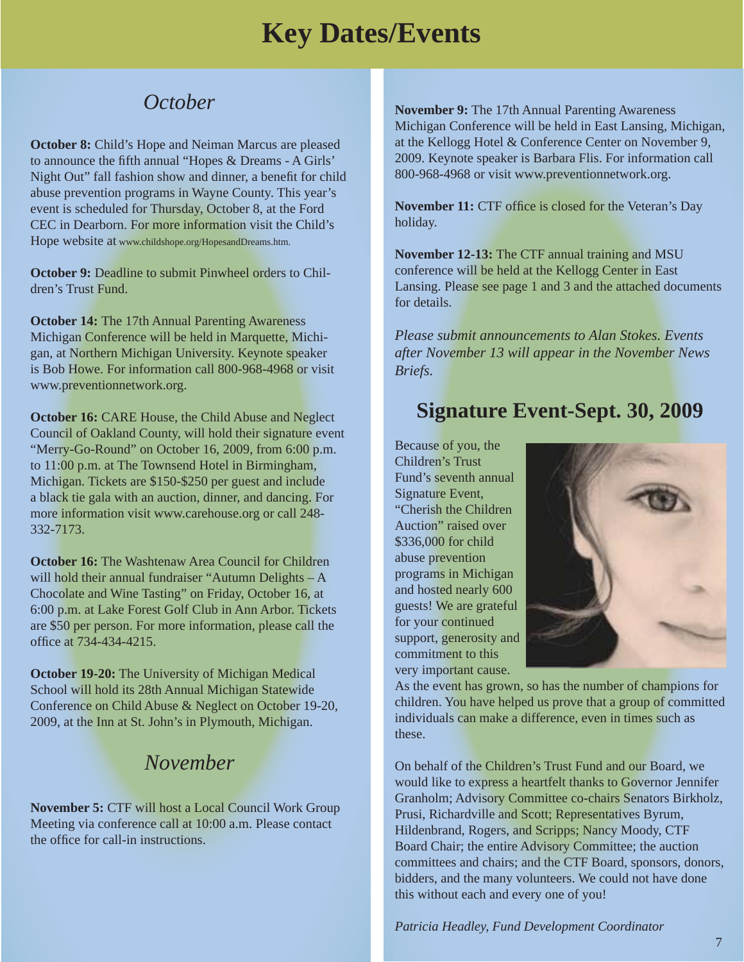# *October*

**October 8:** Child's Hope and Neiman Marcus are pleased to announce the fifth annual "Hopes & Dreams - A Girls' Night Out" fall fashion show and dinner, a benefit for child abuse prevention programs in Wayne County. This year's event is scheduled for Thursday, October 8, at the Ford CEC in Dearborn. For more information visit the Child's Hope website at www.childshope.org/HopesandDreams.htm.

**October 9:** Deadline to submit Pinwheel orders to Children's Trust Fund.

**October 14:** The 17th Annual Parenting Awareness Michigan Conference will be held in Marquette, Michigan, at Northern Michigan University. Keynote speaker is Bob Howe. For information call 800-968-4968 or visit www.preventionnetwork.org.

**October 16:** CARE House, the Child Abuse and Neglect Council of Oakland County, will hold their signature event "Merry-Go-Round" on October 16, 2009, from 6:00 p.m. to 11:00 p.m. at The Townsend Hotel in Birmingham, Michigan. Tickets are \$150-\$250 per guest and include a black tie gala with an auction, dinner, and dancing. For more information visit www.carehouse.org or call 248- 332-7173.

**October 16:** The Washtenaw Area Council for Children will hold their annual fundraiser "Autumn Delights – A Chocolate and Wine Tasting" on Friday, October 16, at 6:00 p.m. at Lake Forest Golf Club in Ann Arbor. Tickets are \$50 per person. For more information, please call the office at 734-434-4215.

**October 19-20:** The University of Michigan Medical School will hold its 28th Annual Michigan Statewide Conference on Child Abuse & Neglect on October 19-20, 2009, at the Inn at St. John's in Plymouth, Michigan.

# *November*

**November 5:** CTF will host a Local Council Work Group Meeting via conference call at 10:00 a.m. Please contact the office for call-in instructions.

**November 9:** The 17th Annual Parenting Awareness Michigan Conference will be held in East Lansing, Michigan, at the Kellogg Hotel & Conference Center on November 9, 2009. Keynote speaker is Barbara Flis. For information call 800-968-4968 or visit www.preventionnetwork.org.

**November 11:** CTF office is closed for the Veteran's Day holiday.

**November 12-13:** The CTF annual training and MSU conference will be held at the Kellogg Center in East Lansing. Please see page 1 and 3 and the attached documents for details.

*Please submit announcements to Alan Stokes. Events after November 13 will appear in the November News Briefs.* 

# **Signature Event-Sept. 30, 2009**

Because of you, the Children's Trust Fund's seventh annual Signature Event, "Cherish the Children Auction" raised over \$336,000 for child abuse prevention programs in Michigan and hosted nearly 600 guests! We are grateful for your continued support, generosity and commitment to this very important cause.



As the event has grown, so has the number of champions for children. You have helped us prove that a group of committed individuals can make a difference, even in times such as these.

On behalf of the Children's Trust Fund and our Board, we would like to express a heartfelt thanks to Governor Jennifer Granholm; Advisory Committee co-chairs Senators Birkholz, Prusi, Richardville and Scott; Representatives Byrum, Hildenbrand, Rogers, and Scripps; Nancy Moody, CTF Board Chair; the entire Advisory Committee; the auction committees and chairs; and the CTF Board, sponsors, donors, bidders, and the many volunteers. We could not have done this without each and every one of you!

*Patricia Headley, Fund Development Coordinator*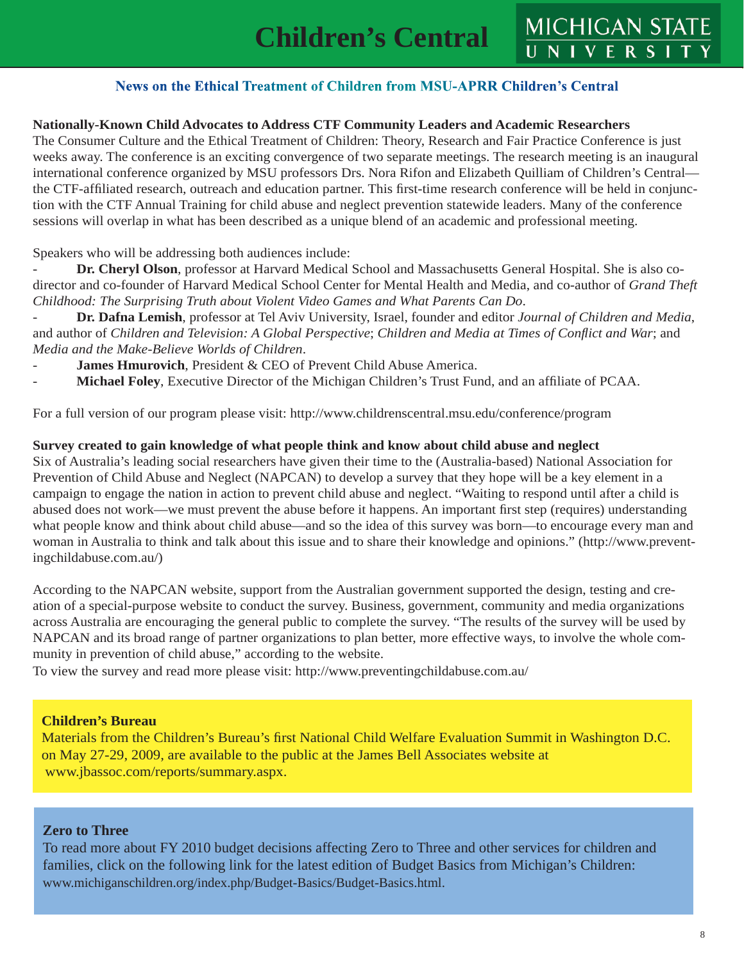# MICHIGAN STATE

### News on the Ethical Treatment of Children from MSU-APRR Children's Central

### **Nationally-Known Child Advocates to Address CTF Community Leaders and Academic Researchers**

The Consumer Culture and the Ethical Treatment of Children: Theory, Research and Fair Practice Conference is just weeks away. The conference is an exciting convergence of two separate meetings. The research meeting is an inaugural international conference organized by MSU professors Drs. Nora Rifon and Elizabeth Quilliam of Children's Central the CTF-affiliated research, outreach and education partner. This first-time research conference will be held in conjunction with the CTF Annual Training for child abuse and neglect prevention statewide leaders. Many of the conference sessions will overlap in what has been described as a unique blend of an academic and professional meeting.

Speakers who will be addressing both audiences include:

Dr. Cheryl Olson, professor at Harvard Medical School and Massachusetts General Hospital. She is also codirector and co-founder of Harvard Medical School Center for Mental Health and Media, and co-author of *Grand Theft Childhood: The Surprising Truth about Violent Video Games and What Parents Can Do*.

- **Dr. Dafna Lemish**, professor at Tel Aviv University, Israel, founder and editor *Journal of Children and Media*, and author of *Children and Television: A Global Perspective; Children and Media at Times of Conflict and War;* and *Media and the Make-Believe Worlds of Children*.

- James Hmurovich, President & CEO of Prevent Child Abuse America.
- **Michael Foley**, Executive Director of the Michigan Children's Trust Fund, and an affiliate of PCAA.

For a full version of our program please visit: http://www.childrenscentral.msu.edu/conference/program

### **Survey created to gain knowledge of what people think and know about child abuse and neglect**

Six of Australia's leading social researchers have given their time to the (Australia-based) National Association for Prevention of Child Abuse and Neglect (NAPCAN) to develop a survey that they hope will be a key element in a campaign to engage the nation in action to prevent child abuse and neglect. "Waiting to respond until after a child is abused does not work—we must prevent the abuse before it happens. An important first step (requires) understanding what people know and think about child abuse—and so the idea of this survey was born—to encourage every man and woman in Australia to think and talk about this issue and to share their knowledge and opinions." (http://www.preventingchildabuse.com.au/)

According to the NAPCAN website, support from the Australian government supported the design, testing and creation of a special-purpose website to conduct the survey. Business, government, community and media organizations across Australia are encouraging the general public to complete the survey. "The results of the survey will be used by NAPCAN and its broad range of partner organizations to plan better, more effective ways, to involve the whole community in prevention of child abuse," according to the website.

To view the survey and read more please visit: http://www.preventingchildabuse.com.au/

### **Children's Bureau**

Materials from the Children's Bureau's first National Child Welfare Evaluation Summit in Washington D.C. on May 27-29, 2009, are available to the public at the James Bell Associates website at www.jbassoc.com/reports/summary.aspx.

### **Zero to Three**

To read more about FY 2010 budget decisions affecting Zero to Three and other services for children and families, click on the following link for the latest edition of Budget Basics from Michigan's Children: www.michiganschildren.org/index.php/Budget-Basics/Budget-Basics.html.